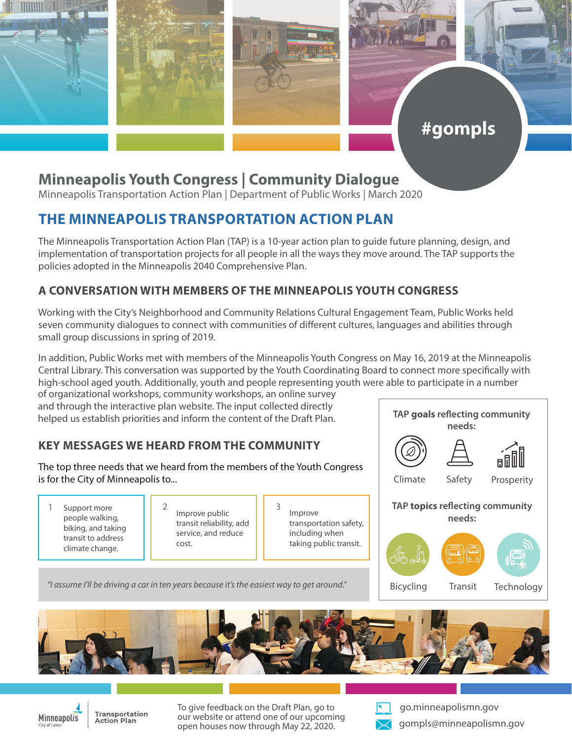

# #gompls

## **Minneapolis Youth Congress | Community Dialogue**

Minneapolis Transportation Action Plan | Department of Public Works | March 2020

## **THE MINNEAPOLIS TRANSPORTATION ACTION PLAN**

The Minneapolis Transportation Action Plan (TAP) is a 10-year action plan to guide future planning, design, and implementation of transportation projects for all people in all the ways they move around. The TAP supports the policies adopted in the Minneapolis 2040 Comprehensive Plan.

#### **A CONVERSATION WITH MEMBERS OF THE MINNEAPOLIS YOUTH CONGRESS**

Working with the City's Neighborhood and Community Relations Cultural Engagement Team, Public Works held seven community dialogues to connect with communities of different cultures, languages and abilities through small group discussions in spring of 2019.

In addition, Public Works met with members of the Minneapolis Youth Congress on May 16, 2019 at the Minneapolis Central Library. This conversation was supported by the Youth Coordinating Board to connect more specifically with high-school aged youth. Additionally, youth and people representing youth were able to participate in a number

of organizational workshops, community workshops, an online survey and through the interactive plan website. The input collected directly helped us establish priorities and inform the content of the Draft Plan.

### **KEY MESSAGES WE HEARD FROM THE COMMUNITY**

The top three needs that we heard from the members of the Youth Congress is for the City of Minneapolis to...

1 Support more  $\begin{array}{|c|c|c|c|c|c|} \hline 1 & 2 & \hline & \text{Simplify} & 3 \\ \hline \end{array}$ people walking, biking, and taking transit to address climate change.

Improve public transit reliability, add service, and reduce cost.

Improve transportation safety, including when taking public transit.



**TAP goals reflecting community** 

*"I assume I'll be driving a car in ten years because it's the easiest way to get around."*



**Technology** 





**Transportation Action Plan** 

To give feedback on the Draft Plan, go to our website or attend one of our upcoming open houses now through May 22, 2020.



go.minneapolismn.gov gompls@minneapolismn.gov